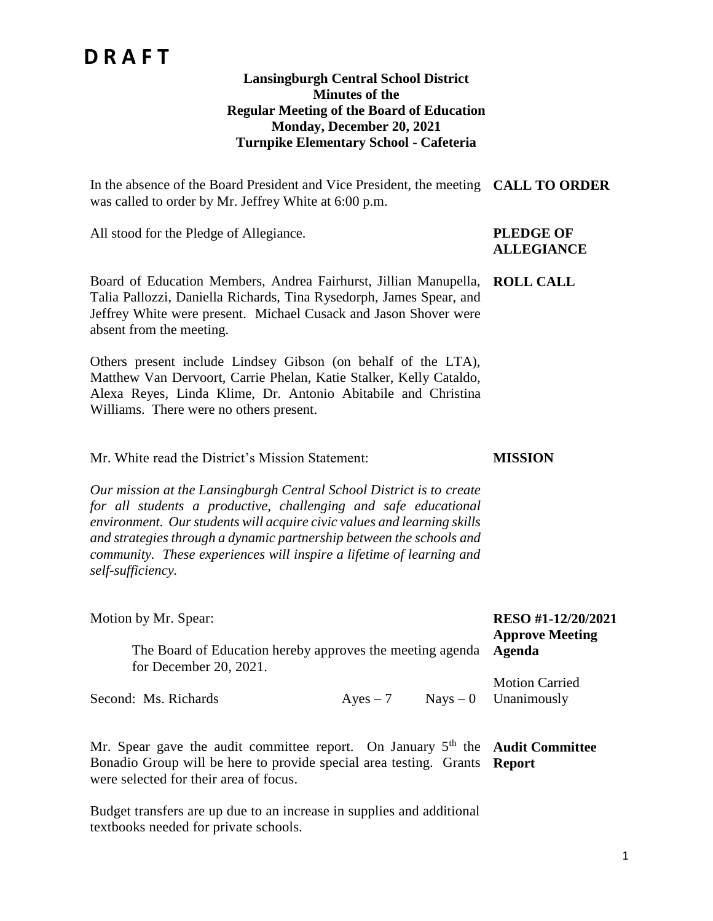### **Lansingburgh Central School District Minutes of the Regular Meeting of the Board of Education Monday, December 20, 2021 Turnpike Elementary School - Cafeteria**

In the absence of the Board President and Vice President, the meeting **CALL TO ORDER** was called to order by Mr. Jeffrey White at 6:00 p.m.

All stood for the Pledge of Allegiance. **PLEDGE OF** 

# **ALLEGIANCE**

**MISSION**

Board of Education Members, Andrea Fairhurst, Jillian Manupella, **ROLL CALL** Talia Pallozzi, Daniella Richards, Tina Rysedorph, James Spear, and Jeffrey White were present. Michael Cusack and Jason Shover were absent from the meeting.

Others present include Lindsey Gibson (on behalf of the LTA), Matthew Van Dervoort, Carrie Phelan, Katie Stalker, Kelly Cataldo, Alexa Reyes, Linda Klime, Dr. Antonio Abitabile and Christina Williams. There were no others present.

Mr. White read the District's Mission Statement:

*Our mission at the Lansingburgh Central School District is to create for all students a productive, challenging and safe educational environment. Our students will acquire civic values and learning skills and strategies through a dynamic partnership between the schools and community. These experiences will inspire a lifetime of learning and self-sufficiency.*

| Motion by Mr. Spear:<br>The Board of Education hereby approves the meeting agenda <b>Agenda</b><br>for December 20, 2021. |            | RESO #1-12/20/2021<br><b>Approve Meeting</b>    |
|---------------------------------------------------------------------------------------------------------------------------|------------|-------------------------------------------------|
| Second: Ms. Richards                                                                                                      | $Ayes - 7$ | <b>Motion Carried</b><br>$Nays - 0$ Unanimously |

Mr. Spear gave the audit committee report. On January 5<sup>th</sup> the Audit Committee Bonadio Group will be here to provide special area testing. Grants **Report**were selected for their area of focus.

Budget transfers are up due to an increase in supplies and additional textbooks needed for private schools.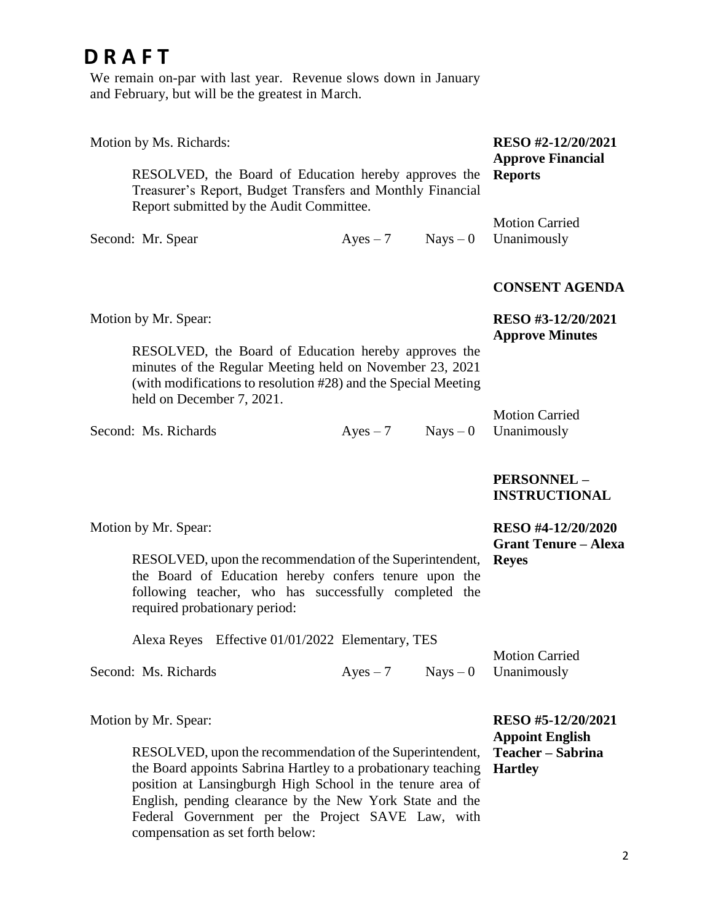We remain on-par with last year. Revenue slows down in January and February, but will be the greatest in March.

| Motion by Ms. Richards:                                                                                                                                                                                                                             |                                                               |            | RESO #2-12/20/2021                           |
|-----------------------------------------------------------------------------------------------------------------------------------------------------------------------------------------------------------------------------------------------------|---------------------------------------------------------------|------------|----------------------------------------------|
| RESOLVED, the Board of Education hereby approves the<br>Treasurer's Report, Budget Transfers and Monthly Financial<br>Report submitted by the Audit Committee.                                                                                      | <b>Approve Financial</b><br><b>Reports</b>                    |            |                                              |
| Second: Mr. Spear                                                                                                                                                                                                                                   | $Ayes - 7$                                                    | $Nays - 0$ | <b>Motion Carried</b><br>Unanimously         |
|                                                                                                                                                                                                                                                     |                                                               |            | <b>CONSENT AGENDA</b>                        |
| Motion by Mr. Spear:                                                                                                                                                                                                                                |                                                               |            | RESO #3-12/20/2021<br><b>Approve Minutes</b> |
| RESOLVED, the Board of Education hereby approves the<br>minutes of the Regular Meeting held on November 23, 2021<br>(with modifications to resolution #28) and the Special Meeting<br>held on December 7, 2021.                                     |                                                               |            |                                              |
| Second: Ms. Richards                                                                                                                                                                                                                                | $Ayes - 7$                                                    | $Nays - 0$ | <b>Motion Carried</b><br>Unanimously         |
|                                                                                                                                                                                                                                                     |                                                               |            | PERSONNEL-<br><b>INSTRUCTIONAL</b>           |
| Motion by Mr. Spear:                                                                                                                                                                                                                                |                                                               |            | RESO #4-12/20/2020                           |
| RESOLVED, upon the recommendation of the Superintendent,<br>the Board of Education hereby confers tenure upon the<br>following teacher, who has successfully completed the<br>required probationary period:                                         | <b>Grant Tenure – Alexa</b><br><b>Reyes</b>                   |            |                                              |
| Alexa Reyes Effective 01/01/2022 Elementary, TES                                                                                                                                                                                                    |                                                               |            |                                              |
| Second: Ms. Richards                                                                                                                                                                                                                                | $Ayes - 7$                                                    | $Nays - 0$ | <b>Motion Carried</b><br>Unanimously         |
| Motion by Mr. Spear:                                                                                                                                                                                                                                |                                                               |            | RESO #5-12/20/2021                           |
| RESOLVED, upon the recommendation of the Superintendent,<br>the Board appoints Sabrina Hartley to a probationary teaching<br>position at Lansingburgh High School in the tenure area of<br>English, pending clearance by the New York State and the | <b>Appoint English</b><br>Teacher – Sabrina<br><b>Hartley</b> |            |                                              |

Federal Government per the Project SAVE Law, with

compensation as set forth below: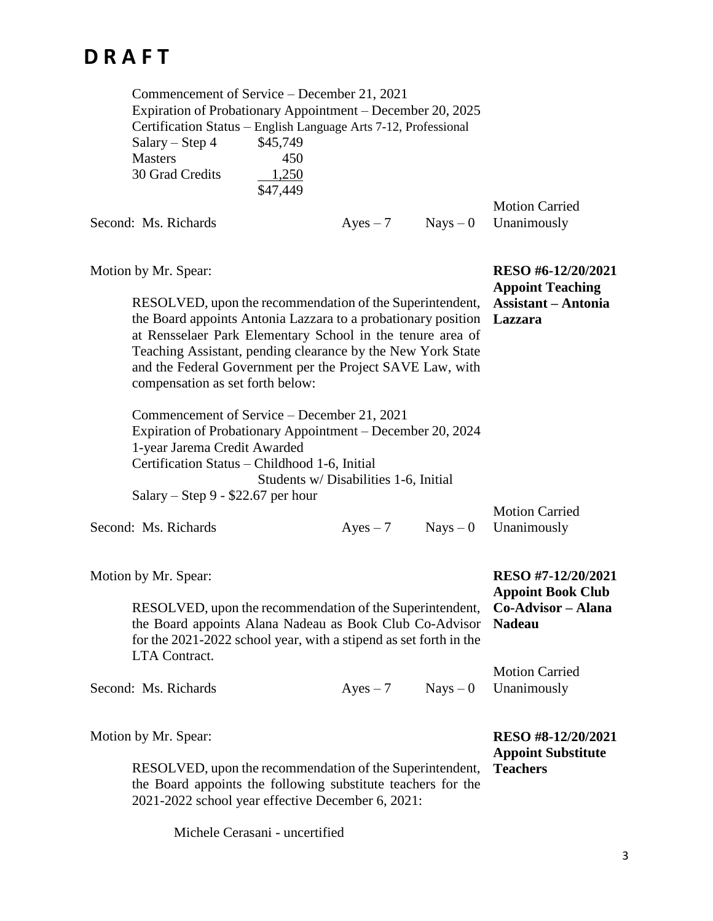| Commencement of Service – December 21, 2021<br>Expiration of Probationary Appointment – December 20, 2025<br>Certification Status - English Language Arts 7-12, Professional<br>Salary - Step 4<br><b>Masters</b><br>30 Grad Credits                                                                                                                    | \$45,749<br>450<br>1,250<br>\$47,449 |                                       |            |                                                                                              |
|---------------------------------------------------------------------------------------------------------------------------------------------------------------------------------------------------------------------------------------------------------------------------------------------------------------------------------------------------------|--------------------------------------|---------------------------------------|------------|----------------------------------------------------------------------------------------------|
| Second: Ms. Richards                                                                                                                                                                                                                                                                                                                                    |                                      | $Ayes - 7$                            | $Nays - 0$ | <b>Motion Carried</b><br>Unanimously                                                         |
| Motion by Mr. Spear:                                                                                                                                                                                                                                                                                                                                    |                                      |                                       |            | RESO #6-12/20/2021<br><b>Appoint Teaching</b>                                                |
| RESOLVED, upon the recommendation of the Superintendent,<br>the Board appoints Antonia Lazzara to a probationary position<br>at Rensselaer Park Elementary School in the tenure area of<br>Teaching Assistant, pending clearance by the New York State<br>and the Federal Government per the Project SAVE Law, with<br>compensation as set forth below: |                                      |                                       |            | <b>Assistant</b> – Antonia<br>Lazzara                                                        |
| Commencement of Service – December 21, 2021<br>Expiration of Probationary Appointment – December 20, 2024<br>1-year Jarema Credit Awarded<br>Certification Status – Childhood 1-6, Initial                                                                                                                                                              |                                      |                                       |            |                                                                                              |
| Salary – Step 9 - \$22.67 per hour                                                                                                                                                                                                                                                                                                                      |                                      | Students w/ Disabilities 1-6, Initial |            |                                                                                              |
| Second: Ms. Richards                                                                                                                                                                                                                                                                                                                                    |                                      | $Ayes - 7$                            |            | <b>Motion Carried</b><br>$Nays - 0$ Unanimously                                              |
| Motion by Mr. Spear:                                                                                                                                                                                                                                                                                                                                    |                                      |                                       |            | RESO #7-12/20/2021<br><b>Appoint Book Club</b>                                               |
| the Board appoints Alana Nadeau as Book Club Co-Advisor<br>for the 2021-2022 school year, with a stipend as set forth in the<br>LTA Contract.                                                                                                                                                                                                           |                                      |                                       |            | RESOLVED, upon the recommendation of the Superintendent, Co-Advisor - Alana<br><b>Nadeau</b> |
| Second: Ms. Richards                                                                                                                                                                                                                                                                                                                                    |                                      | $Ayes - 7$                            | $Nays - 0$ | <b>Motion Carried</b><br>Unanimously                                                         |
| Motion by Mr. Spear:                                                                                                                                                                                                                                                                                                                                    |                                      |                                       |            | RESO #8-12/20/2021<br><b>Appoint Substitute</b>                                              |
| RESOLVED, upon the recommendation of the Superintendent,<br>the Board appoints the following substitute teachers for the<br>2021-2022 school year effective December 6, 2021:                                                                                                                                                                           |                                      |                                       |            | <b>Teachers</b>                                                                              |

Michele Cerasani - uncertified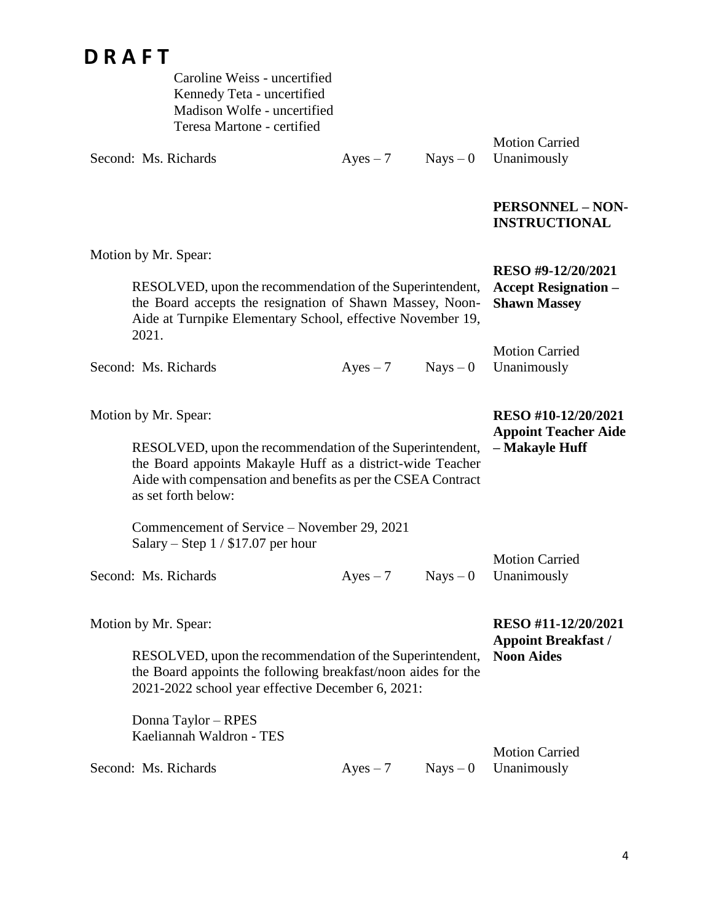Caroline Weiss - uncertified Kennedy Teta - uncertified Madison Wolfe - uncertified Teresa Martone - certified

Second: Ms. Richards  $Ayes - 7$  Nays – 0

Motion Carried Unanimously

## **PERSONNEL – NON-INSTRUCTIONAL**

| Motion by Mr. Spear:                                                                                                                                                                                                                  |                                                                                                                                                                                    |            |                                                                        |  |
|---------------------------------------------------------------------------------------------------------------------------------------------------------------------------------------------------------------------------------------|------------------------------------------------------------------------------------------------------------------------------------------------------------------------------------|------------|------------------------------------------------------------------------|--|
| 2021.                                                                                                                                                                                                                                 | RESOLVED, upon the recommendation of the Superintendent,<br>the Board accepts the resignation of Shawn Massey, Noon-<br>Aide at Turnpike Elementary School, effective November 19, |            |                                                                        |  |
| Second: Ms. Richards                                                                                                                                                                                                                  | $Ayes - 7$                                                                                                                                                                         | $Nays - 0$ | <b>Motion Carried</b><br>Unanimously                                   |  |
| Motion by Mr. Spear:<br>RESOLVED, upon the recommendation of the Superintendent,<br>the Board appoints Makayle Huff as a district-wide Teacher<br>Aide with compensation and benefits as per the CSEA Contract<br>as set forth below: |                                                                                                                                                                                    |            | RESO #10-12/20/2021<br><b>Appoint Teacher Aide</b><br>- Makayle Huff   |  |
| Commencement of Service – November 29, 2021<br>Salary – Step $1/$ \$17.07 per hour                                                                                                                                                    |                                                                                                                                                                                    |            |                                                                        |  |
| Second: Ms. Richards                                                                                                                                                                                                                  | $Ayes - 7$                                                                                                                                                                         | $Nays - 0$ | <b>Motion Carried</b><br>Unanimously                                   |  |
| Motion by Mr. Spear:<br>RESOLVED, upon the recommendation of the Superintendent,<br>the Board appoints the following breakfast/noon aides for the<br>2021-2022 school year effective December 6, 2021:                                |                                                                                                                                                                                    |            | RESO #11-12/20/2021<br><b>Appoint Breakfast /</b><br><b>Noon Aides</b> |  |
| Donna Taylor - RPES<br>Kaeliannah Waldron - TES<br>Second: Ms. Richards                                                                                                                                                               | $Ayes - 7$                                                                                                                                                                         | $Nays - 0$ | <b>Motion Carried</b><br>Unanimously                                   |  |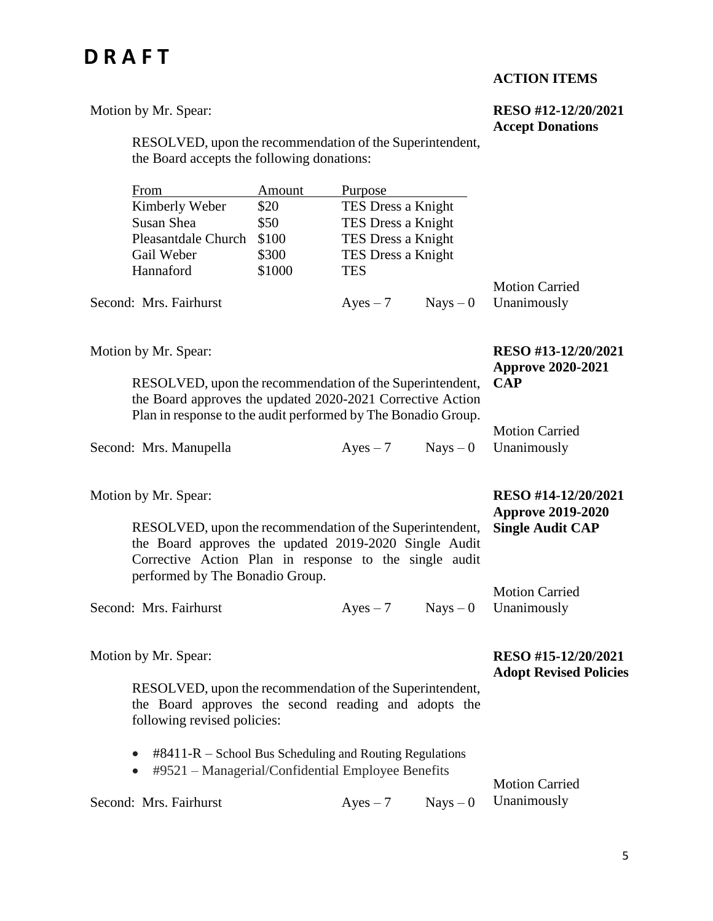## **ACTION ITEMS**

#### Motion by Mr. Spear:

### **RESO #12-12/20/2021 Accept Donations**

RESOLVED, upon the recommendation of the Superintendent, the Board accepts the following donations:

| Kimberly Weber<br>TES Dress a Knight<br>\$20                   |                       |
|----------------------------------------------------------------|-----------------------|
|                                                                |                       |
| TES Dress a Knight<br>Susan Shea<br>\$50                       |                       |
| TES Dress a Knight<br>\$100<br><b>Pleasantdale Church</b>      |                       |
| TES Dress a Knight<br>\$300<br>Gail Weber                      |                       |
| \$1000<br>Hannaford<br><b>TES</b>                              |                       |
|                                                                | <b>Motion Carried</b> |
| Second: Mrs. Fairhurst<br>$Nays - 0$ Unanimously<br>$Ayes - 7$ |                       |

Motion by Mr. Spear:

**RESO #13-12/20/2021 Approve 2020-2021 CAP**

**RESO #14-12/20/2021 Approve 2019-2020** 

RESOLVED, upon the recommendation of the Superintendent, the Board approves the updated 2020-2021 Corrective Action Plan in response to the audit performed by The Bonadio Group.

|                        | I fail in response to the addit performed by The Donadio Group. |                        |
|------------------------|-----------------------------------------------------------------|------------------------|
|                        |                                                                 | <b>Motion Carried</b>  |
| Second: Mrs. Manupella | $Aves - 7$                                                      | $Nays - 0$ Unanimously |

Motion by Mr. Spear:

RESOLVED, upon the recommendation of the Superintendent, the Board approves the updated 2019-2020 Single Audit Corrective Action Plan in response to the single audit performed by The Bonadio Group. **Single Audit CAP** Motion Carried

Second: Mrs. Fairhurst  $Ayes - 7$  Nays – 0 Unanimously

Motion by Mr. Spear:

### **RESO #15-12/20/2021 Adopt Revised Policies**

RESOLVED, upon the recommendation of the Superintendent, the Board approves the second reading and adopts the following revised policies:

- $\bullet$  #8411-R School Bus Scheduling and Routing Regulations
- #9521 Managerial/Confidential Employee Benefits

Second: Mrs. Fairhurst  $Ayes - 7$  Nays – 0

Motion Carried Unanimously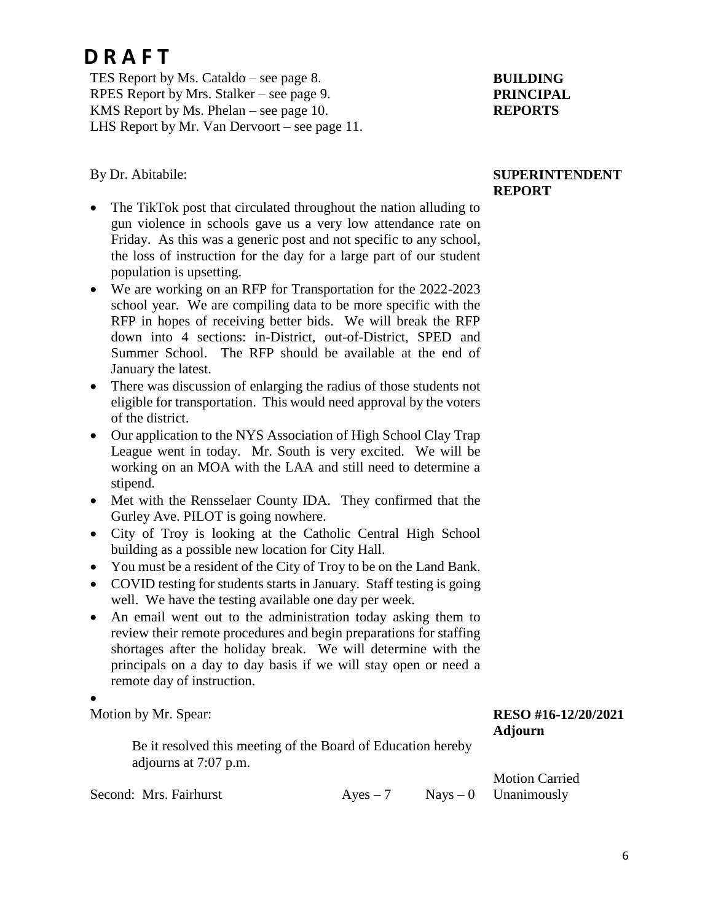TES Report by Ms. Cataldo – see page 8. RPES Report by Mrs. Stalker – see page 9. KMS Report by Ms. Phelan – see page 10. LHS Report by Mr. Van Dervoort – see page 11.

### By Dr. Abitabile:

- The TikTok post that circulated throughout the nation alluding to gun violence in schools gave us a very low attendance rate on Friday. As this was a generic post and not specific to any school, the loss of instruction for the day for a large part of our student population is upsetting.
- We are working on an RFP for Transportation for the 2022-2023 school year. We are compiling data to be more specific with the RFP in hopes of receiving better bids. We will break the RFP down into 4 sections: in-District, out-of-District, SPED and Summer School. The RFP should be available at the end of January the latest.
- There was discussion of enlarging the radius of those students not eligible for transportation. This would need approval by the voters of the district.
- Our application to the NYS Association of High School Clay Trap League went in today. Mr. South is very excited. We will be working on an MOA with the LAA and still need to determine a stipend.
- Met with the Rensselaer County IDA. They confirmed that the Gurley Ave. PILOT is going nowhere.
- City of Troy is looking at the Catholic Central High School building as a possible new location for City Hall.
- You must be a resident of the City of Troy to be on the Land Bank.
- COVID testing for students starts in January. Staff testing is going well. We have the testing available one day per week.
- An email went out to the administration today asking them to review their remote procedures and begin preparations for staffing shortages after the holiday break. We will determine with the principals on a day to day basis if we will stay open or need a remote day of instruction.

### $\bullet$

Motion by Mr. Spear:

Be it resolved this meeting of the Board of Education hereby adjourns at 7:07 p.m.

Second: Mrs. Fairhurst  $Ayes - 7$  Nays – 0

## **BUILDING PRINCIPAL REPORTS**

### **SUPERINTENDENT REPORT**

**RESO #16-12/20/2021 Adjourn**

Motion Carried Unanimously

6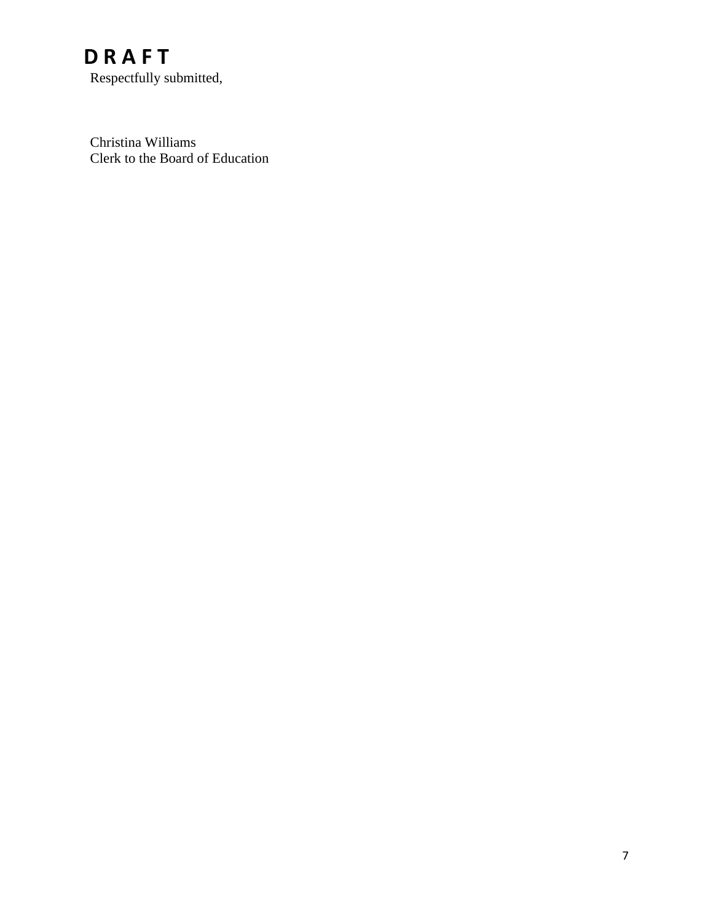Respectfully submitted,

Christina Williams Clerk to the Board of Education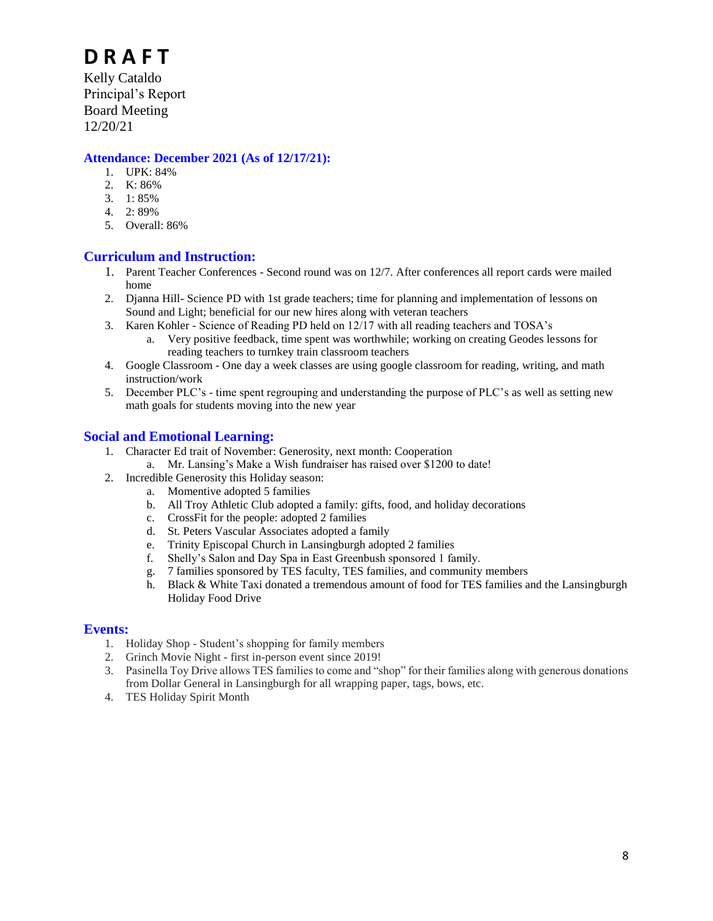Principal's Report Board Meeting 12/20/21

#### **Attendance: December 2021 (As of 12/17/21):**

- 1. UPK: 84%
- 2. K: 86%
- 3. 1: 85%
- 4. 2: 89%
- 5. Overall: 86%

### **Curriculum and Instruction:**

- 1. Parent Teacher Conferences Second round was on 12/7. After conferences all report cards were mailed home
- 2. Djanna Hill- Science PD with 1st grade teachers; time for planning and implementation of lessons on Sound and Light; beneficial for our new hires along with veteran teachers
- 3. Karen Kohler Science of Reading PD held on 12/17 with all reading teachers and TOSA's
	- a. Very positive feedback, time spent was worthwhile; working on creating Geodes lessons for reading teachers to turnkey train classroom teachers
- 4. Google Classroom One day a week classes are using google classroom for reading, writing, and math instruction/work
- 5. December PLC's time spent regrouping and understanding the purpose of PLC's as well as setting new math goals for students moving into the new year

#### **Social and Emotional Learning:**

- 1. Character Ed trait of November: Generosity, next month: Cooperation
	- a. Mr. Lansing's Make a Wish fundraiser has raised over \$1200 to date!
- 2. Incredible Generosity this Holiday season:
	- a. Momentive adopted 5 families
		- b. All Troy Athletic Club adopted a family: gifts, food, and holiday decorations
	- c. CrossFit for the people: adopted 2 families
	- d. St. Peters Vascular Associates adopted a family
	- e. Trinity Episcopal Church in Lansingburgh adopted 2 families<br>f. Shelly's Salon and Day Spa in East Greenbush sponsored 1 fa
	- Shelly's Salon and Day Spa in East Greenbush sponsored 1 family.
	- g. 7 families sponsored by TES faculty, TES families, and community members
	- h. Black & White Taxi donated a tremendous amount of food for TES families and the Lansingburgh Holiday Food Drive

#### **Events:**

- 1. Holiday Shop Student's shopping for family members
- 2. Grinch Movie Night first in-person event since 2019!
- 3. Pasinella Toy Drive allows TES families to come and "shop" for their families along with generous donations from Dollar General in Lansingburgh for all wrapping paper, tags, bows, etc.
- 4. TES Holiday Spirit Month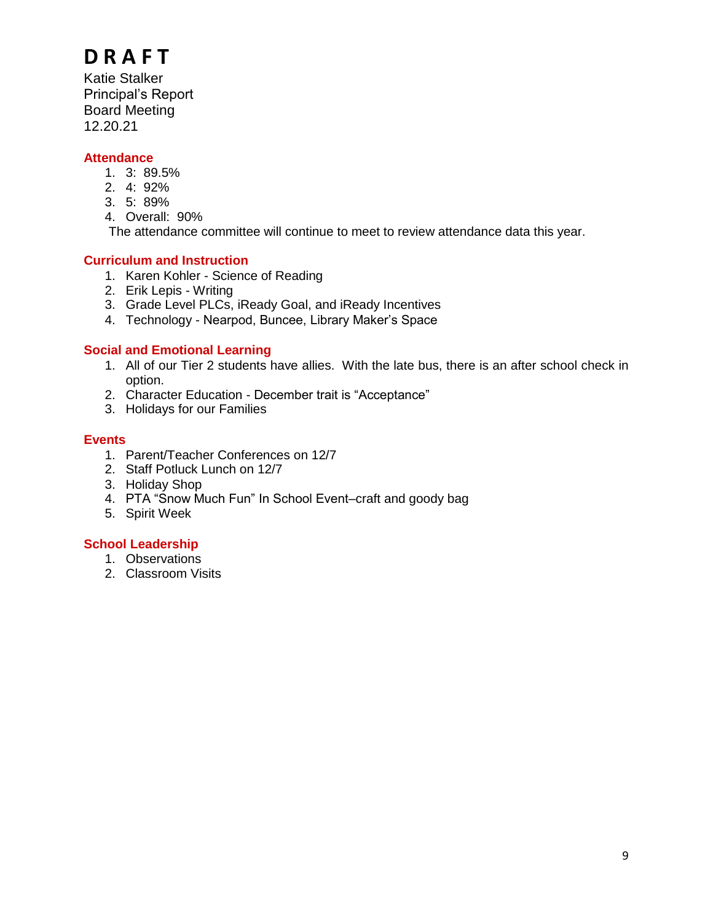Katie Stalker Principal's Report Board Meeting 12.20.21

### **Attendance**

- 1. 3: 89.5%
- 2. 4: 92%
- 3. 5: 89%
- 4. Overall: 90%

The attendance committee will continue to meet to review attendance data this year.

## **Curriculum and Instruction**

- 1. Karen Kohler Science of Reading
- 2. Erik Lepis Writing
- 3. Grade Level PLCs, iReady Goal, and iReady Incentives
- 4. Technology Nearpod, Buncee, Library Maker's Space

### **Social and Emotional Learning**

- 1. All of our Tier 2 students have allies. With the late bus, there is an after school check in option.
- 2. Character Education December trait is "Acceptance"
- 3. Holidays for our Families

### **Events**

- 1. Parent/Teacher Conferences on 12/7
- 2. Staff Potluck Lunch on 12/7
- 3. Holiday Shop
- 4. PTA "Snow Much Fun" In School Event–craft and goody bag
- 5. Spirit Week

### **School Leadership**

- 1. Observations
- 2. Classroom Visits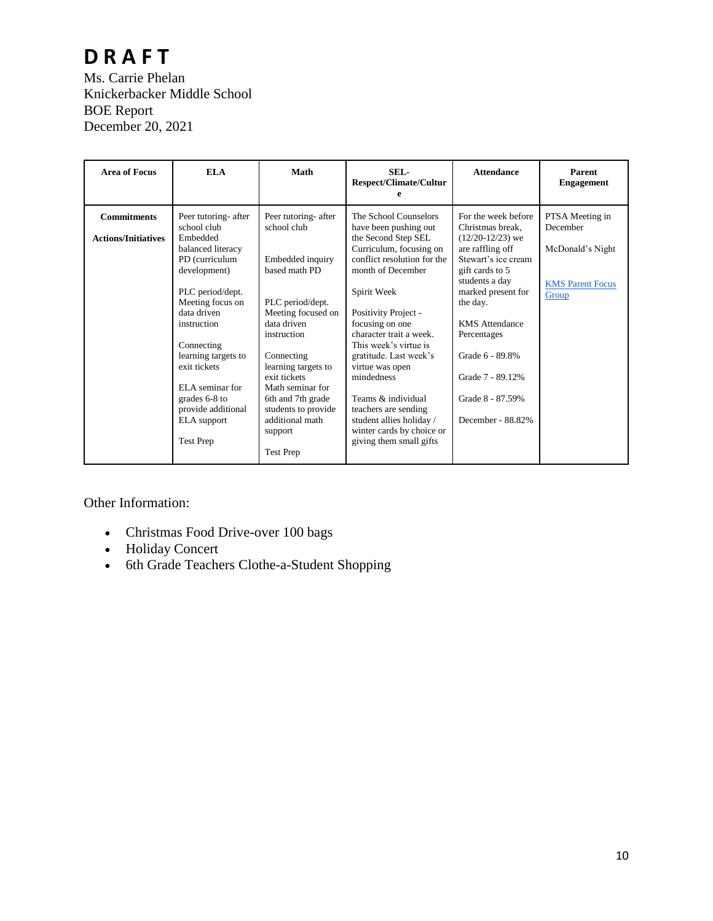## **D R A F T** Ms. Carrie Phelan Knickerbacker Middle School BOE Report December 20, 2021

| <b>Commitments</b><br>For the week before<br>Peer tutoring- after<br>Peer tutoring- after<br>The School Counselors<br>PTSA Meeting in<br>school club<br>December<br>school club<br>Christmas break.<br>have been pushing out<br>Embedded<br>the Second Step SEL<br>$(12/20-12/23)$ we<br><b>Actions/Initiatives</b><br>Curriculum, focusing on<br>are raffling off<br>McDonald's Night<br>balanced literacy<br>conflict resolution for the<br>Stewart's ice cream<br>PD (curriculum<br>Embedded inquiry<br>based math PD<br>month of December<br>development)<br>gift cards to 5<br>students a day<br><b>KMS</b> Parent Focus<br>PLC period/dept.<br>Spirit Week<br>marked present for<br>Group<br>PLC period/dept.<br>Meeting focus on<br>the day.<br>data driven<br>Meeting focused on<br>Positivity Project -<br>data driven<br>focusing on one<br><b>KMS</b> Attendance<br>instruction<br>character trait a week.<br>instruction<br>Percentages<br>This week's virtue is<br>Connecting<br>Grade 6 - 89.8%<br>Connecting<br>gratitude. Last week's<br>learning targets to<br>exit tickets<br>learning targets to<br>virtue was open<br>Grade 7 - 89.12%<br>exit tickets<br>mindedness<br>ELA seminar for<br>Math seminar for<br>Teams & individual<br>grades 6-8 to<br>Grade 8 - 87.59%<br>6th and 7th grade<br>provide additional<br>students to provide<br>teachers are sending<br>additional math<br>student allies holiday /<br>December - 88.82%<br><b>ELA</b> support | <b>Area of Focus</b> | <b>ELA</b> | Math    | SEL-<br><b>Respect/Climate/Cultur</b> | <b>Attendance</b> | Parent<br><b>Engagement</b> |
|--------------------------------------------------------------------------------------------------------------------------------------------------------------------------------------------------------------------------------------------------------------------------------------------------------------------------------------------------------------------------------------------------------------------------------------------------------------------------------------------------------------------------------------------------------------------------------------------------------------------------------------------------------------------------------------------------------------------------------------------------------------------------------------------------------------------------------------------------------------------------------------------------------------------------------------------------------------------------------------------------------------------------------------------------------------------------------------------------------------------------------------------------------------------------------------------------------------------------------------------------------------------------------------------------------------------------------------------------------------------------------------------------------------------------------------------------------------------------------|----------------------|------------|---------|---------------------------------------|-------------------|-----------------------------|
| <b>Test Prep</b><br>giving them small gifts<br><b>Test Prep</b>                                                                                                                                                                                                                                                                                                                                                                                                                                                                                                                                                                                                                                                                                                                                                                                                                                                                                                                                                                                                                                                                                                                                                                                                                                                                                                                                                                                                                |                      |            | support | winter cards by choice or             |                   |                             |

Other Information:

- Christmas Food Drive-over 100 bags
- Holiday Concert
- 6th Grade Teachers Clothe-a-Student Shopping